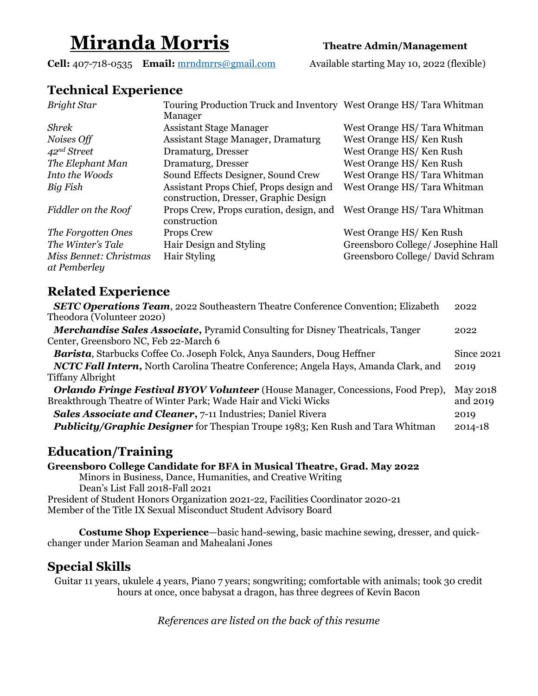# Miranda Morris Theatre Admin/Management

Cell: 407-718-0535 Email: mrndmrrs@gmail.com Available starting May 10, 2022 (flexible)

### Technical Experience

| <b>Bright Star</b>                     | Touring Production Truck and Inventory West Orange HS/Tara Whitman<br>Manager    |                                    |
|----------------------------------------|----------------------------------------------------------------------------------|------------------------------------|
| <b>Shrek</b>                           | <b>Assistant Stage Manager</b>                                                   | West Orange HS/Tara Whitman        |
| Noises Off                             | Assistant Stage Manager, Dramaturg                                               | West Orange HS/Ken Rush            |
| 42 <sup>nd</sup> Street                | Dramaturg, Dresser                                                               | West Orange HS/Ken Rush            |
| The Elephant Man                       | Dramaturg, Dresser                                                               | West Orange HS/Ken Rush            |
| Into the Woods                         | Sound Effects Designer, Sound Crew                                               | West Orange HS/Tara Whitman        |
| Big Fish                               | Assistant Props Chief, Props design and<br>construction, Dresser, Graphic Design | West Orange HS/Tara Whitman        |
| Fiddler on the Roof                    | Props Crew, Props curation, design, and<br>construction                          | West Orange HS/Tara Whitman        |
| The Forgotten Ones                     | Props Crew                                                                       | West Orange HS/Ken Rush            |
| The Winter's Tale                      | Hair Design and Styling                                                          | Greensboro College/ Josephine Hall |
| Miss Bennet: Christmas<br>at Pemberley | Hair Styling                                                                     | Greensboro College/ David Schram   |

### Related Experience

| <b>SETC Operations Team</b> , 2022 Southeastern Theatre Conference Convention; Elizabeth | 2022         |
|------------------------------------------------------------------------------------------|--------------|
| Theodora (Volunteer 2020)                                                                |              |
| <b>Merchandise Sales Associate, Pyramid Consulting for Disney Theatricals, Tanger</b>    | 2022         |
| Center, Greensboro NC, Feb 22-March 6                                                    |              |
| Barista, Starbucks Coffee Co. Joseph Folck, Anya Saunders, Doug Heffner                  | Since $2021$ |
| NCTC Fall Intern, North Carolina Theatre Conference; Angela Hays, Amanda Clark, and      | 2019         |
| Tiffany Albright                                                                         |              |
| <b>Orlando Fringe Festival BYOV Volunteer</b> (House Manager, Concessions, Food Prep),   | May 2018     |
| Breakthrough Theatre of Winter Park; Wade Hair and Vicki Wicks                           | and 2019     |
| <b>Sales Associate and Cleaner</b> , 7-11 Industries; Daniel Rivera                      | 2019         |
| <b>Publicity/Graphic Designer</b> for Thespian Troupe 1983; Ken Rush and Tara Whitman    | $2014 - 18$  |

## Education/Training

Greensboro College Candidate for BFA in Musical Theatre, Grad. May 2022

Minors in Business, Dance, Humanities, and Creative Writing Dean's List Fall 2018-Fall 2021 President of Student Honors Organization 2021-22, Facilities Coordinator 2020-21 Member of the Title IX Sexual Misconduct Student Advisory Board

Costume Shop Experience—basic hand-sewing, basic machine sewing, dresser, and quickchanger under Marion Seaman and Mahealani Jones

#### Special Skills

Guitar 11 years, ukulele 4 years, Piano 7 years; songwriting; comfortable with animals; took 30 credit hours at once, once babysat a dragon, has three degrees of Kevin Bacon

References are listed on the back of this resume